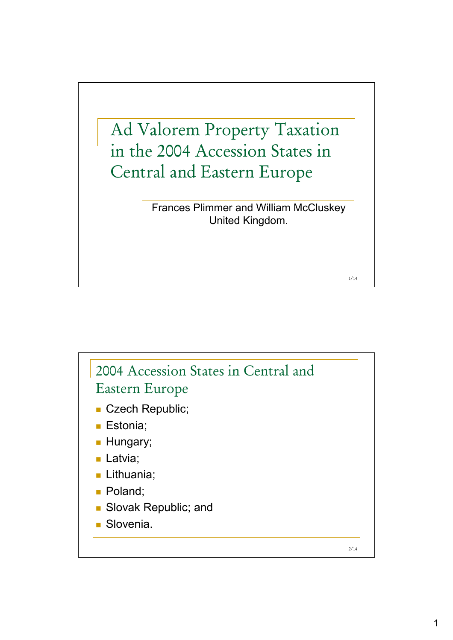

Frances Plimmer and William McCluskey United Kingdom.

1/14

2/14 2004 Accession States in Central and Eastern Europe Czech Republic; **Estonia**: **Hungary**; **Latvia**; Lithuania; ■ Poland; **Slovak Republic; and** Slovenia.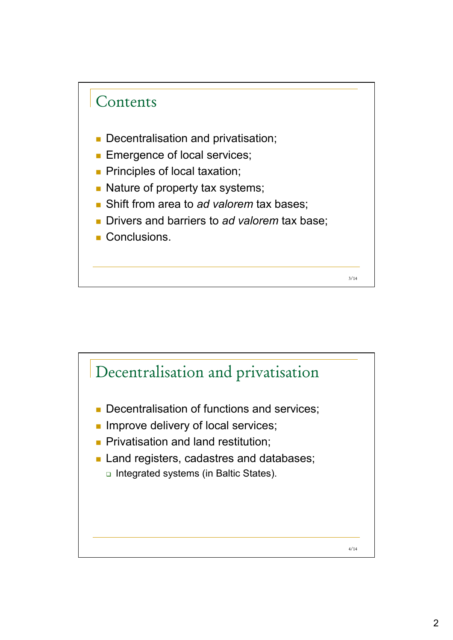

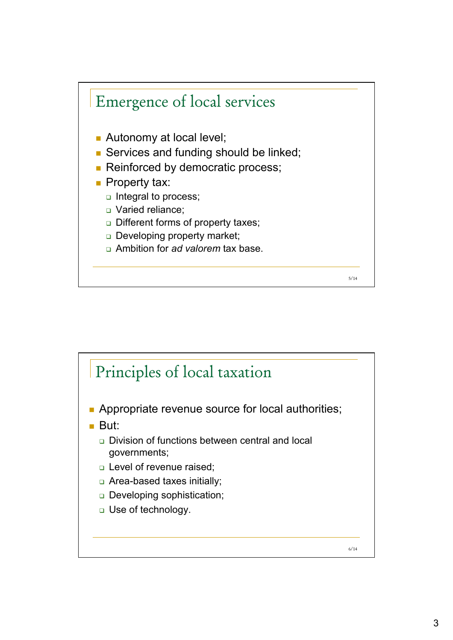

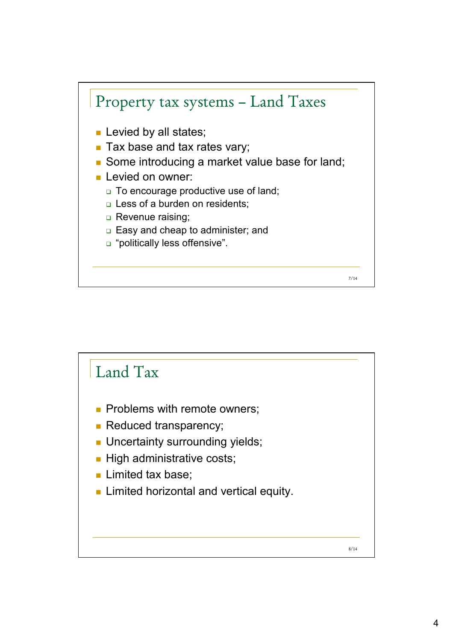

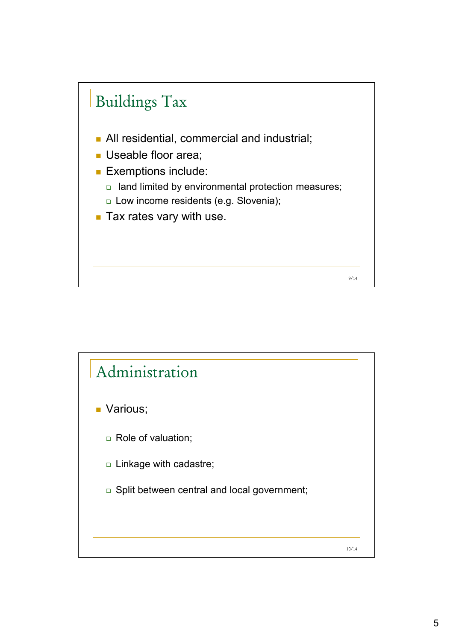

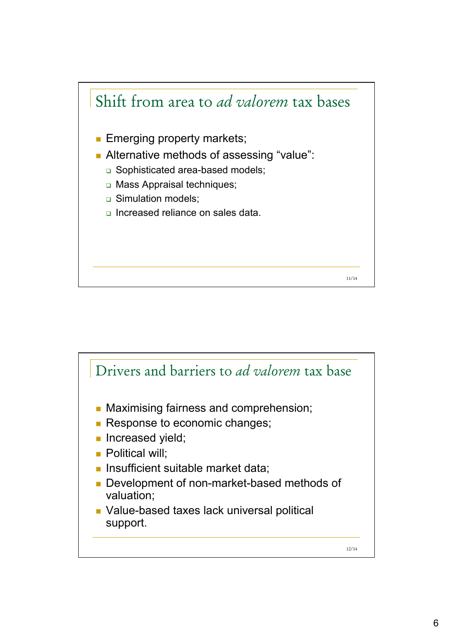